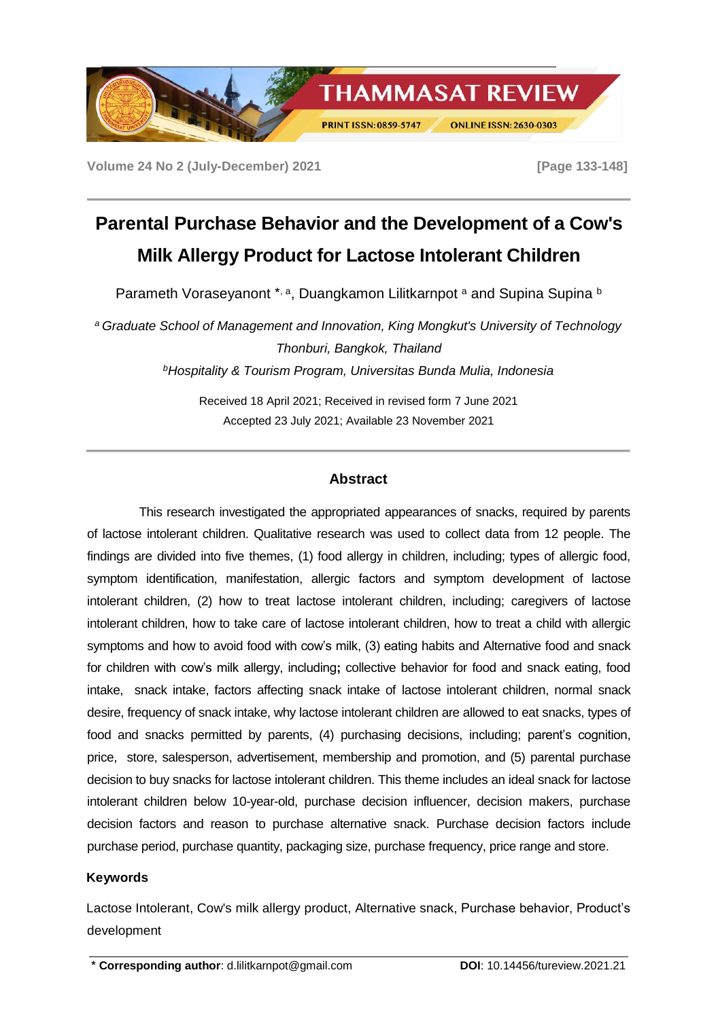

**Volume 24 No 2 (July-December) 2021 [Page 133-148]** 

# **Parental Purchase Behavior and the Development of a Cow's Milk Allergy Product for Lactose Intolerant Children**

Parameth Voraseyanont \*, a, Duangkamon Lilitkarnpot a and Supina Supina b

*<sup>a</sup> Graduate School of Management and Innovation, King Mongkut's University of Technology Thonburi, Bangkok, Thailand <sup>b</sup>Hospitality & Tourism Program, Universitas Bunda Mulia, Indonesia*

> Received 18 April 2021; Received in revised form 7 June 2021 Accepted 23 July 2021; Available 23 November 2021

## **Abstract**

This research investigated the appropriated appearances of snacks, required by parents of lactose intolerant children. Qualitative research was used to collect data from 12 people. The findings are divided into five themes, (1) food allergy in children, including; types of allergic food, symptom identification, manifestation, allergic factors and symptom development of lactose intolerant children, (2) how to treat lactose intolerant children, including; caregivers of lactose intolerant children, how to take care of lactose intolerant children, how to treat a child with allergic symptoms and how to avoid food with cow's milk, (3) eating habits and Alternative food and snack for children with cow's milk allergy, including**;** collective behavior for food and snack eating, food intake, snack intake, factors affecting snack intake of lactose intolerant children, normal snack desire, frequency of snack intake, why lactose intolerant children are allowed to eat snacks, types of food and snacks permitted by parents, (4) purchasing decisions, including; parent's cognition, price, store, salesperson, advertisement, membership and promotion, and (5) parental purchase decision to buy snacks for lactose intolerant children. This theme includes an ideal snack for lactose intolerant children below 10-year-old, purchase decision influencer, decision makers, purchase decision factors and reason to purchase alternative snack. Purchase decision factors include purchase period, purchase quantity, packaging size, purchase frequency, price range and store.

## **Keywords**

Lactose Intolerant, Cow's milk allergy product, Alternative snack, Purchase behavior, Product's development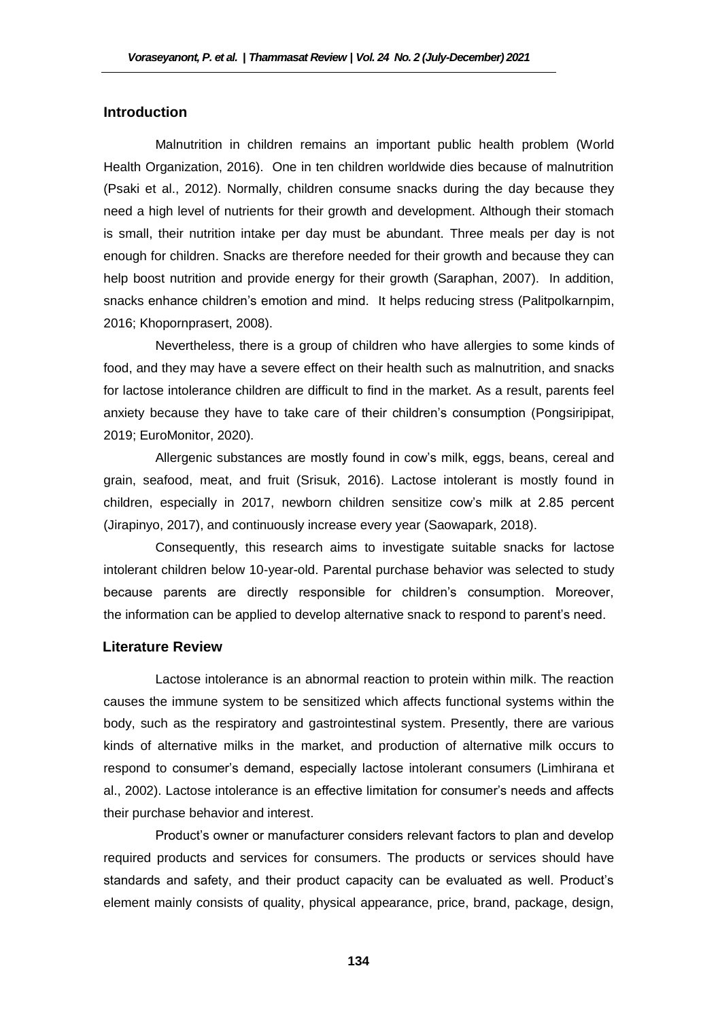## **Introduction**

Malnutrition in children remains an important public health problem (World Health Organization, 2016). One in ten children worldwide dies because of malnutrition (Psaki et al., 2012). Normally, children consume snacks during the day because they need a high level of nutrients for their growth and development. Although their stomach is small, their nutrition intake per day must be abundant. Three meals per day is not enough for children. Snacks are therefore needed for their growth and because they can help boost nutrition and provide energy for their growth (Saraphan, 2007). In addition, snacks enhance children's emotion and mind. It helps reducing stress (Palitpolkarnpim, 2016; Khopornprasert, 2008).

Nevertheless, there is a group of children who have allergies to some kinds of food, and they may have a severe effect on their health such as malnutrition, and snacks for lactose intolerance children are difficult to find in the market. As a result, parents feel anxiety because they have to take care of their children's consumption (Pongsiripipat, 2019; EuroMonitor, 2020).

Allergenic substances are mostly found in cow's milk, eggs, beans, cereal and grain, seafood, meat, and fruit (Srisuk, 2016). Lactose intolerant is mostly found in children, especially in 2017, newborn children sensitize cow's milk at 2.85 percent (Jirapinyo, 2017), and continuously increase every year (Saowapark, 2018).

Consequently, this research aims to investigate suitable snacks for lactose intolerant children below 10-year-old. Parental purchase behavior was selected to study because parents are directly responsible for children's consumption. Moreover, the information can be applied to develop alternative snack to respond to parent's need.

#### **Literature Review**

Lactose intolerance is an abnormal reaction to protein within milk. The reaction causes the immune system to be sensitized which affects functional systems within the body, such as the respiratory and gastrointestinal system. Presently, there are various kinds of alternative milks in the market, and production of alternative milk occurs to respond to consumer's demand, especially lactose intolerant consumers (Limhirana et al., 2002). Lactose intolerance is an effective limitation for consumer's needs and affects their purchase behavior and interest.

Product's owner or manufacturer considers relevant factors to plan and develop required products and services for consumers. The products or services should have standards and safety, and their product capacity can be evaluated as well. Product's element mainly consists of quality, physical appearance, price, brand, package, design,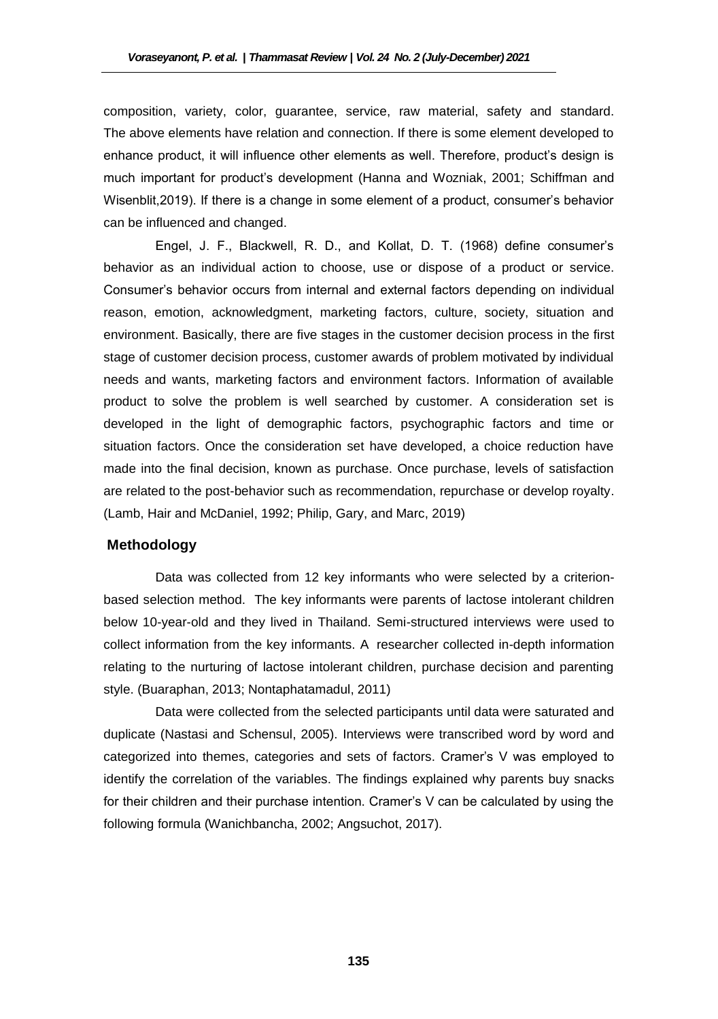composition, variety, color, guarantee, service, raw material, safety and standard. The above elements have relation and connection. If there is some element developed to enhance product, it will influence other elements as well. Therefore, product's design is much important for product's development (Hanna and Wozniak, 2001; Schiffman and Wisenblit,2019). If there is a change in some element of a product, consumer's behavior can be influenced and changed.

Engel, J. F., Blackwell, R. D., and Kollat, D. T. (1968) define consumer's behavior as an individual action to choose, use or dispose of a product or service. Consumer's behavior occurs from internal and external factors depending on individual reason, emotion, acknowledgment, marketing factors, culture, society, situation and environment. Basically, there are five stages in the customer decision process in the first stage of customer decision process, customer awards of problem motivated by individual needs and wants, marketing factors and environment factors. Information of available product to solve the problem is well searched by customer. A consideration set is developed in the light of demographic factors, psychographic factors and time or situation factors. Once the consideration set have developed, a choice reduction have made into the final decision, known as purchase. Once purchase, levels of satisfaction are related to the post-behavior such as recommendation, repurchase or develop royalty. (Lamb, Hair and McDaniel, 1992; Philip, Gary, and Marc, 2019)

#### **Methodology**

Data was collected from 12 key informants who were selected by a criterionbased selection method. The key informants were parents of lactose intolerant children below 10-year-old and they lived in Thailand. Semi-structured interviews were used to collect information from the key informants. A researcher collected in-depth information relating to the nurturing of lactose intolerant children, purchase decision and parenting style. (Buaraphan, 2013; Nontaphatamadul, 2011)

Data were collected from the selected participants until data were saturated and duplicate (Nastasi and Schensul, 2005). Interviews were transcribed word by word and categorized into themes, categories and sets of factors. Cramer's V was employed to identify the correlation of the variables. The findings explained why parents buy snacks for their children and their purchase intention. Cramer's V can be calculated by using the following formula (Wanichbancha, 2002; Angsuchot, 2017).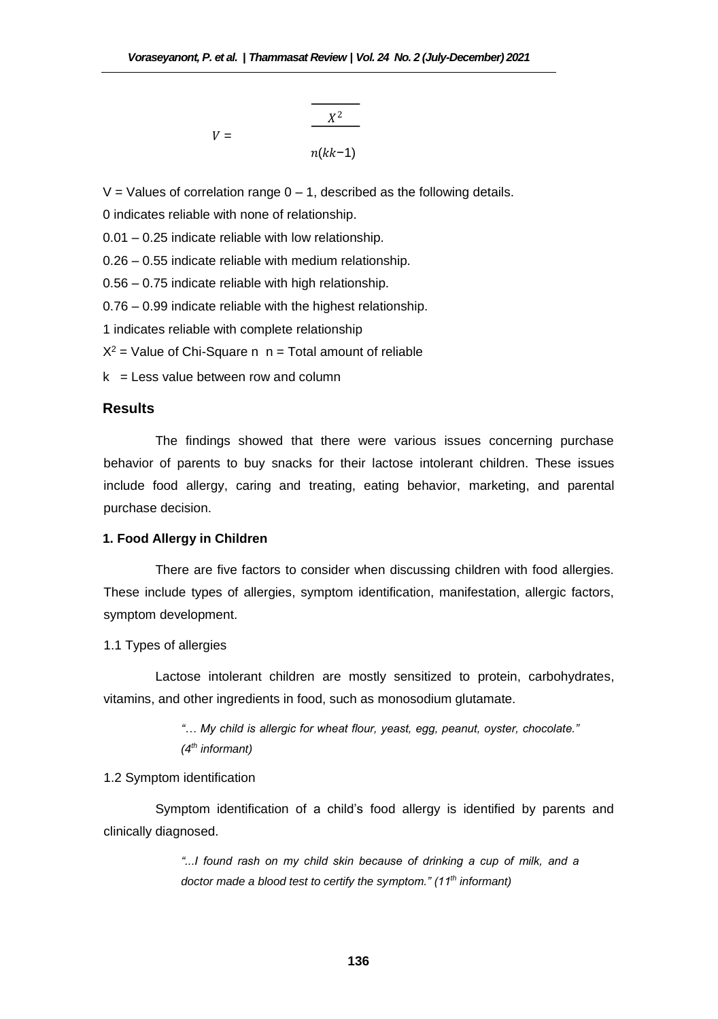$$
V = \frac{\frac{X^2}{1 - \left(\frac{X^2}{1 - \left(\frac{X^2}{1 - \left(\frac{X^2}{1 - \left(\frac{X^2}{1 - \left(\frac{X^2}{1 - \left(\frac{X^2}{1 - \left(\frac{X^2}{1 - \left(\frac{X^2}{1 - \left(\frac{X^2}{1 - \left(\frac{X^2}{1 - \left(\frac{X^2}{1 - \left(\frac{X^2}{1 - \left(\frac{X^2}{1 - \left(\frac{X^2}{1 - \left(\frac{X^2}{1 - \left(\frac{X^2}{1 - \left(\frac{X^2}{1 - \left(\frac{X^2}{1 - \left(\frac{X^2}{1 - \left(\frac{X^2}{1 - \left(\frac{X^2}{1 - \left(\frac{X^2}{1 - \left(\frac{X^2}{1 - \left(\frac{X^2}{1 - \left(\frac{X^2}{1 - \left(\frac{X^2}{1 - \left(\frac{X^2}{1 - \left(\frac{X^2}{1 - \left(\frac{X^2}{1 - \left(\frac{X^2}{1 - \left(\frac{X^2}{1 - \left(\frac{X^2}{1 - \left(\frac{X^2}{1 - \left(\frac{X^2}{1 - \left(\frac{X^2}{1 - \left(\frac{X^2}{1 - \left(\frac{X^2}{1 - \left(\frac{X^2}{1 - \left(\frac{X^2}{1 - \left(\frac{X^2}{1 - \left(\frac{X^2}{1 - \left(\frac{X^2}{1 - \left(\frac{X^2}{1 - \left(\frac{X^2}{1 - \left(\frac{X^2}{1 - \left(\frac{X^2}{1 - \left(\frac{X^2}{1 - \left(\frac{X^2}{1 - \left(\frac{X^2}{1 - \left(\frac{X^2}{1 - \left(\frac{X^2}{1 - \left(\frac{X^2}{1 - \left(\frac{X^2}{1 - \left(\frac{X^2}{1 - \left(\frac{X^2}{1 - \left(\frac{X^2}{1 - \left(\frac{X^2}{1 - \left(\frac{X^2}{1 - \left(\frac{X^2}{1 - \left(\frac{X^2}{1 - \left(\frac{X^2}{1 - \left(\frac{X^2}{1 - \left(\frac{X^2}{1 - \left(\frac{X^2}{1 - \left(\frac{X^2}{1 - \left(\frac{X^2}{1 - \left(\frac{X^2}{1 - \left(\frac{X^2}{
$$

 $V =$  Values of correlation range  $0 - 1$ , described as the following details.

0 indicates reliable with none of relationship.

0.01 – 0.25 indicate reliable with low relationship.

0.26 – 0.55 indicate reliable with medium relationship.

0.56 – 0.75 indicate reliable with high relationship.

0.76 – 0.99 indicate reliable with the highest relationship.

1 indicates reliable with complete relationship

 $X^2$  = Value of Chi-Square n  $n =$  Total amount of reliable

 $k =$  Less value between row and column

## **Results**

The findings showed that there were various issues concerning purchase behavior of parents to buy snacks for their lactose intolerant children. These issues include food allergy, caring and treating, eating behavior, marketing, and parental purchase decision.

#### **1. Food Allergy in Children**

There are five factors to consider when discussing children with food allergies. These include types of allergies, symptom identification, manifestation, allergic factors, symptom development.

1.1 Types of allergies

Lactose intolerant children are mostly sensitized to protein, carbohydrates, vitamins, and other ingredients in food, such as monosodium glutamate.

> *"… My child is allergic for wheat flour, yeast, egg, peanut, oyster, chocolate." (4 th informant)*

#### 1.2 Symptom identification

Symptom identification of a child's food allergy is identified by parents and clinically diagnosed.

> *"...I found rash on my child skin because of drinking a cup of milk, and a doctor made a blood test to certify the symptom." (11th informant)*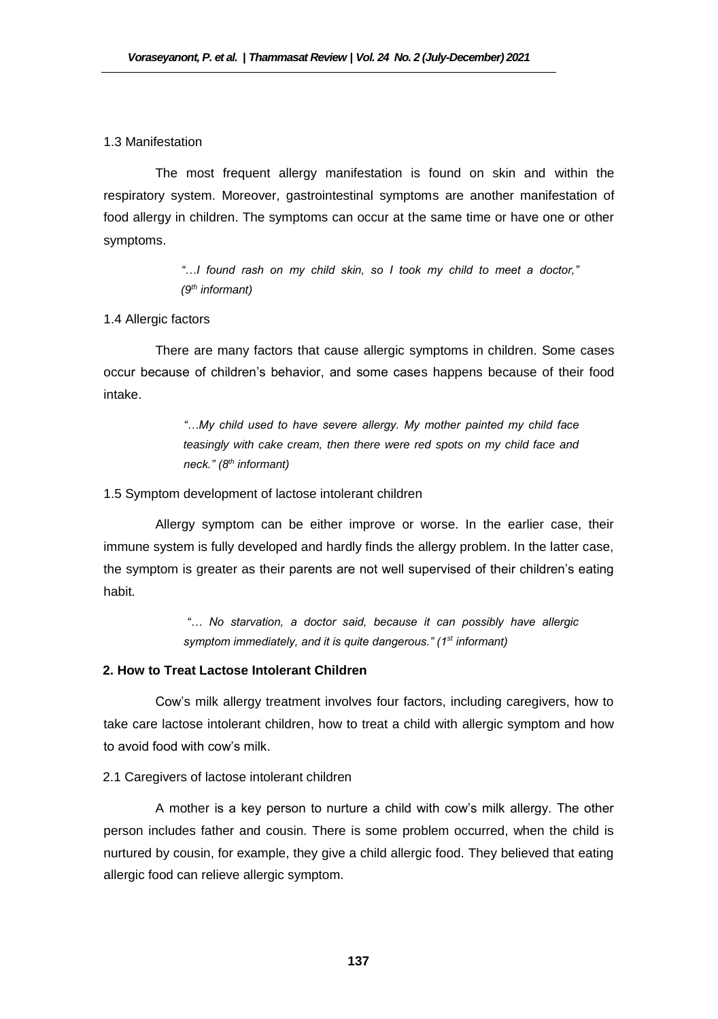#### 1.3 Manifestation

The most frequent allergy manifestation is found on skin and within the respiratory system. Moreover, gastrointestinal symptoms are another manifestation of food allergy in children. The symptoms can occur at the same time or have one or other symptoms.

> *"…I found rash on my child skin, so I took my child to meet a doctor," (9th informant)*

#### 1.4 Allergic factors

There are many factors that cause allergic symptoms in children. Some cases occur because of children's behavior, and some cases happens because of their food intake.

> *"…My child used to have severe allergy. My mother painted my child face teasingly with cake cream, then there were red spots on my child face and neck." (8th informant)*

#### 1.5 Symptom development of lactose intolerant children

Allergy symptom can be either improve or worse. In the earlier case, their immune system is fully developed and hardly finds the allergy problem. In the latter case, the symptom is greater as their parents are not well supervised of their children's eating habit.

> *"… No starvation, a doctor said, because it can possibly have allergic symptom immediately, and it is quite dangerous." (1st informant)*

#### **2. How to Treat Lactose Intolerant Children**

Cow's milk allergy treatment involves four factors, including caregivers, how to take care lactose intolerant children, how to treat a child with allergic symptom and how to avoid food with cow's milk.

#### 2.1 Caregivers of lactose intolerant children

A mother is a key person to nurture a child with cow's milk allergy. The other person includes father and cousin. There is some problem occurred, when the child is nurtured by cousin, for example, they give a child allergic food. They believed that eating allergic food can relieve allergic symptom.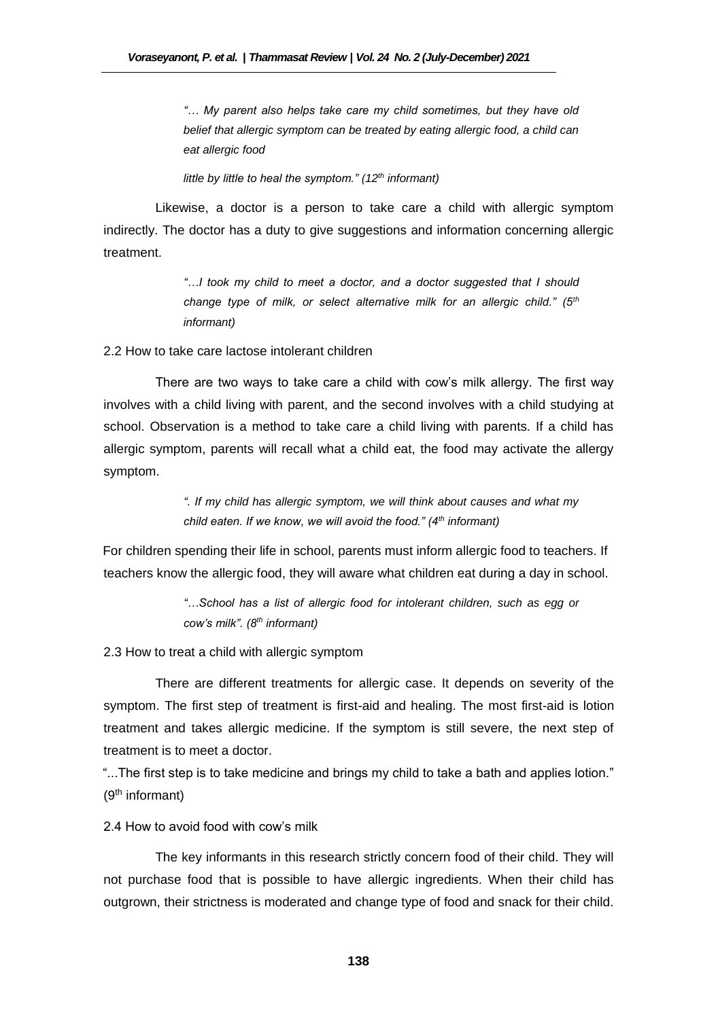*"… My parent also helps take care my child sometimes, but they have old belief that allergic symptom can be treated by eating allergic food, a child can eat allergic food* 

*little by little to heal the symptom." (12th informant)* 

Likewise, a doctor is a person to take care a child with allergic symptom indirectly. The doctor has a duty to give suggestions and information concerning allergic treatment.

> *"…I took my child to meet a doctor, and a doctor suggested that I should change type of milk, or select alternative milk for an allergic child." (5th informant)*

2.2 How to take care lactose intolerant children

There are two ways to take care a child with cow's milk allergy. The first way involves with a child living with parent, and the second involves with a child studying at school. Observation is a method to take care a child living with parents. If a child has allergic symptom, parents will recall what a child eat, the food may activate the allergy symptom.

> *". If my child has allergic symptom, we will think about causes and what my child eaten. If we know, we will avoid the food." (4th informant)*

For children spending their life in school, parents must inform allergic food to teachers. If teachers know the allergic food, they will aware what children eat during a day in school.

> *"…School has a list of allergic food for intolerant children, such as egg or cow's milk". (8th informant)*

2.3 How to treat a child with allergic symptom

There are different treatments for allergic case. It depends on severity of the symptom. The first step of treatment is first-aid and healing. The most first-aid is lotion treatment and takes allergic medicine. If the symptom is still severe, the next step of treatment is to meet a doctor.

"...The first step is to take medicine and brings my child to take a bath and applies lotion." (9th informant)

2.4 How to avoid food with cow's milk

The key informants in this research strictly concern food of their child. They will not purchase food that is possible to have allergic ingredients. When their child has outgrown, their strictness is moderated and change type of food and snack for their child.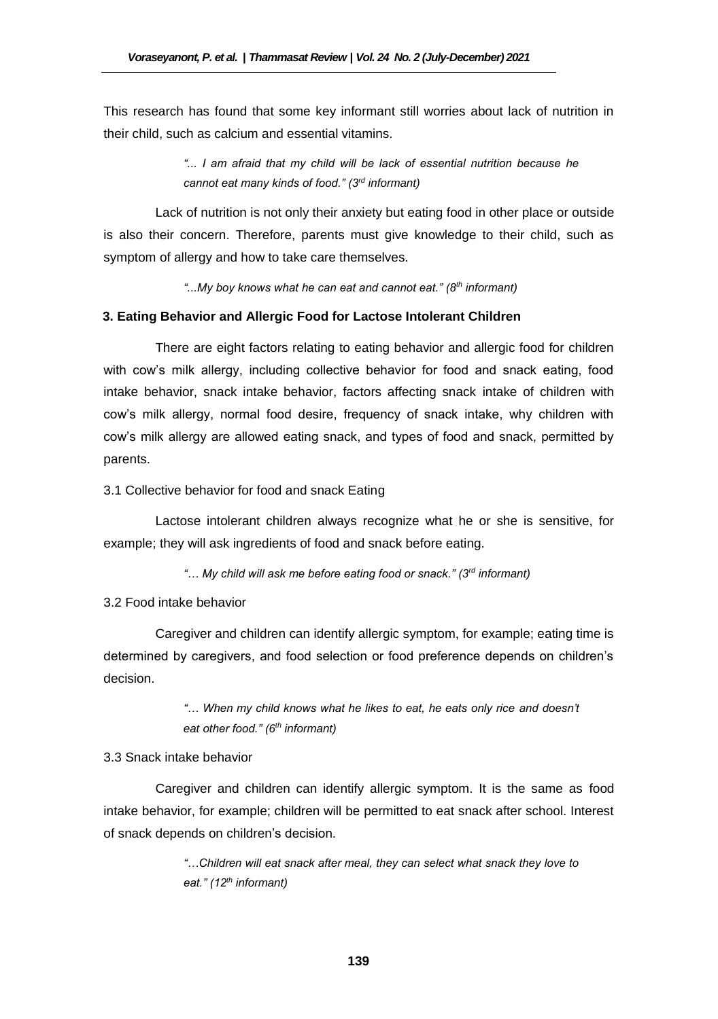This research has found that some key informant still worries about lack of nutrition in their child, such as calcium and essential vitamins.

> *"... I am afraid that my child will be lack of essential nutrition because he cannot eat many kinds of food." (3rd informant)*

Lack of nutrition is not only their anxiety but eating food in other place or outside is also their concern. Therefore, parents must give knowledge to their child, such as symptom of allergy and how to take care themselves.

*"...My boy knows what he can eat and cannot eat." (8th informant)* 

#### **3. Eating Behavior and Allergic Food for Lactose Intolerant Children**

There are eight factors relating to eating behavior and allergic food for children with cow's milk allergy, including collective behavior for food and snack eating, food intake behavior, snack intake behavior, factors affecting snack intake of children with cow's milk allergy, normal food desire, frequency of snack intake, why children with cow's milk allergy are allowed eating snack, and types of food and snack, permitted by parents.

#### 3.1 Collective behavior for food and snack Eating

Lactose intolerant children always recognize what he or she is sensitive, for example; they will ask ingredients of food and snack before eating.

*"… My child will ask me before eating food or snack." (3rd informant)* 

### 3.2 Food intake behavior

Caregiver and children can identify allergic symptom, for example; eating time is determined by caregivers, and food selection or food preference depends on children's decision.

# *"… When my child knows what he likes to eat, he eats only rice and doesn't eat other food." (6 th informant)*

#### 3.3 Snack intake behavior

Caregiver and children can identify allergic symptom. It is the same as food intake behavior, for example; children will be permitted to eat snack after school. Interest of snack depends on children's decision.

> *"…Children will eat snack after meal, they can select what snack they love to eat." (12th informant)*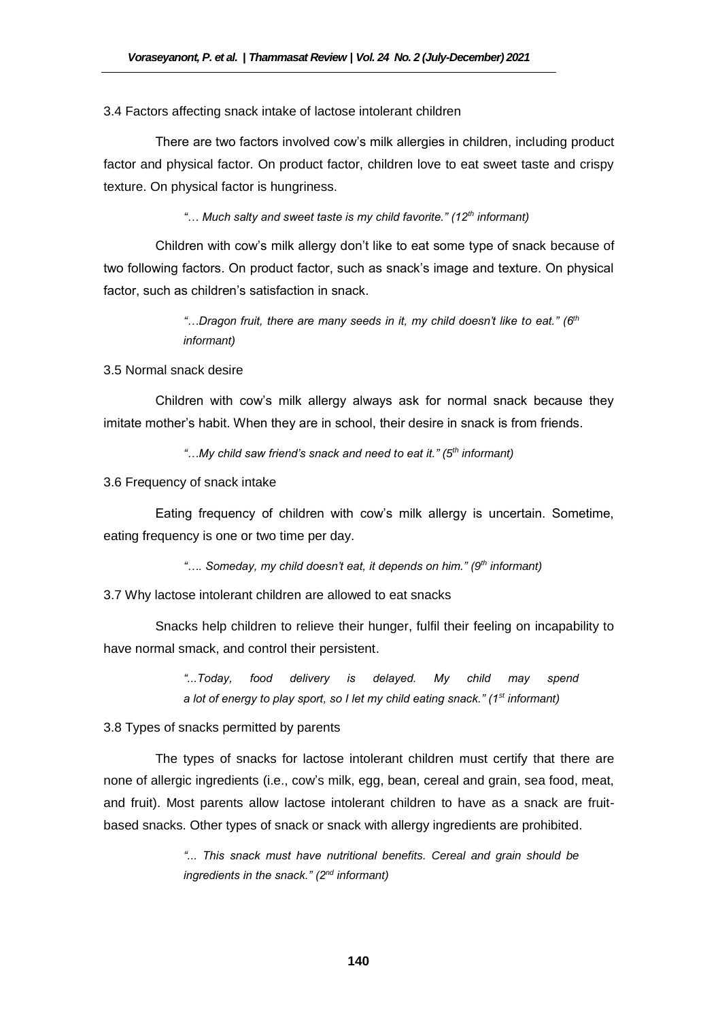#### 3.4 Factors affecting snack intake of lactose intolerant children

There are two factors involved cow's milk allergies in children, including product factor and physical factor. On product factor, children love to eat sweet taste and crispy texture. On physical factor is hungriness.

*"… Much salty and sweet taste is my child favorite." (12th informant)*

Children with cow's milk allergy don't like to eat some type of snack because of two following factors. On product factor, such as snack's image and texture. On physical factor, such as children's satisfaction in snack.

> *"…Dragon fruit, there are many seeds in it, my child doesn't like to eat." (6th informant)*

3.5 Normal snack desire

Children with cow's milk allergy always ask for normal snack because they imitate mother's habit. When they are in school, their desire in snack is from friends.

*"…My child saw friend's snack and need to eat it." (5th informant)* 

3.6 Frequency of snack intake

Eating frequency of children with cow's milk allergy is uncertain. Sometime, eating frequency is one or two time per day.

*"…. Someday, my child doesn't eat, it depends on him." (9 th informant)* 

3.7 Why lactose intolerant children are allowed to eat snacks

Snacks help children to relieve their hunger, fulfil their feeling on incapability to have normal smack, and control their persistent.

> *"...Today, food delivery is delayed. My child may spend a lot of energy to play sport, so I let my child eating snack." (1st informant)*

3.8 Types of snacks permitted by parents

The types of snacks for lactose intolerant children must certify that there are none of allergic ingredients (i.e., cow's milk, egg, bean, cereal and grain, sea food, meat, and fruit). Most parents allow lactose intolerant children to have as a snack are fruitbased snacks. Other types of snack or snack with allergy ingredients are prohibited.

> *"... This snack must have nutritional benefits. Cereal and grain should be ingredients in the snack." (2nd informant)*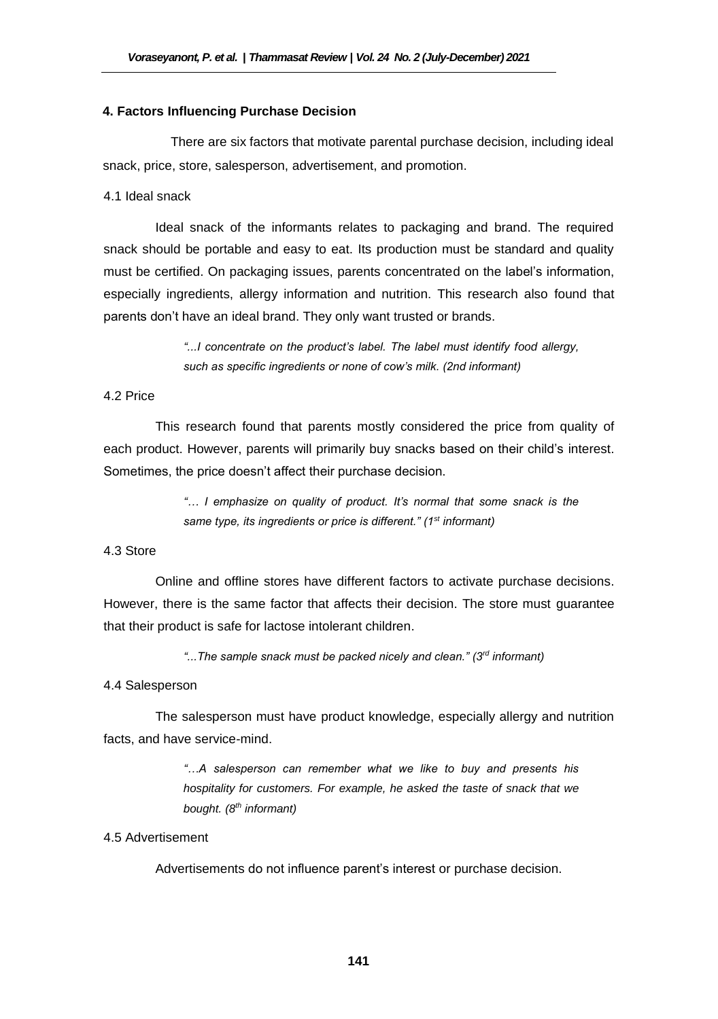#### **4. Factors Influencing Purchase Decision**

There are six factors that motivate parental purchase decision, including ideal snack, price, store, salesperson, advertisement, and promotion.

## 4.1 Ideal snack

Ideal snack of the informants relates to packaging and brand. The required snack should be portable and easy to eat. Its production must be standard and quality must be certified. On packaging issues, parents concentrated on the label's information, especially ingredients, allergy information and nutrition. This research also found that parents don't have an ideal brand. They only want trusted or brands.

> *"...I concentrate on the product's label. The label must identify food allergy, such as specific ingredients or none of cow's milk. (2nd informant)*

## 4.2 Price

This research found that parents mostly considered the price from quality of each product. However, parents will primarily buy snacks based on their child's interest. Sometimes, the price doesn't affect their purchase decision.

> *"… I emphasize on quality of product. It's normal that some snack is the same type, its ingredients or price is different." (1st informant)*

#### 4.3 Store

Online and offline stores have different factors to activate purchase decisions. However, there is the same factor that affects their decision. The store must guarantee that their product is safe for lactose intolerant children.

*"...The sample snack must be packed nicely and clean." (3rd informant)* 

#### 4.4 Salesperson

The salesperson must have product knowledge, especially allergy and nutrition facts, and have service-mind.

> *"…A salesperson can remember what we like to buy and presents his hospitality for customers. For example, he asked the taste of snack that we bought. (8th informant)*

## 4.5 Advertisement

Advertisements do not influence parent's interest or purchase decision.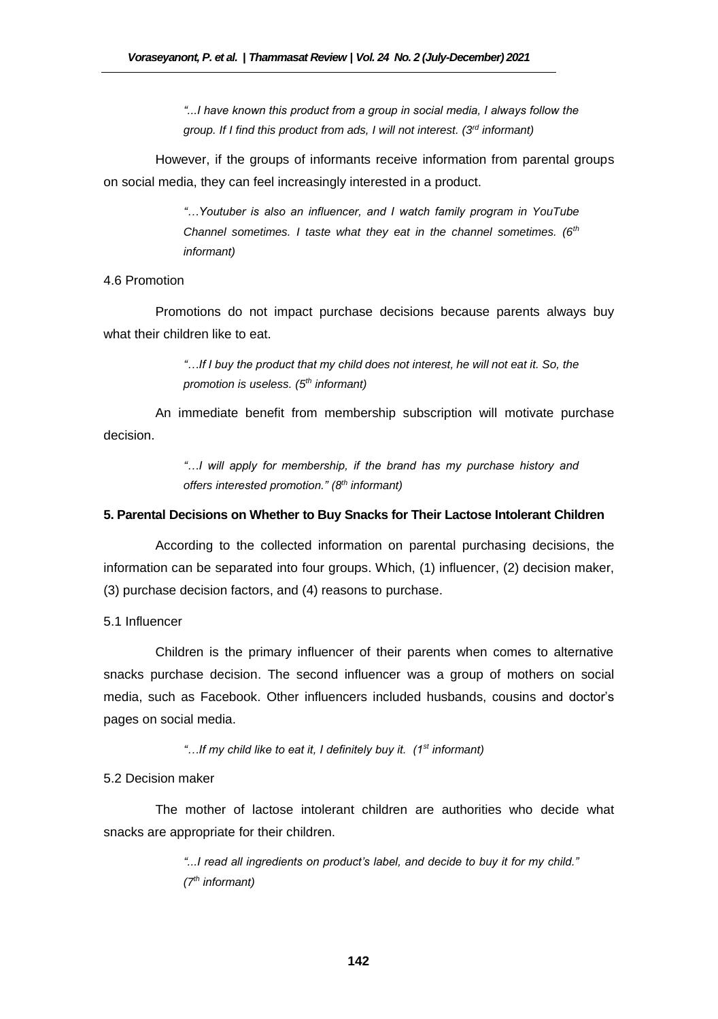*"...I have known this product from a group in social media, I always follow the group. If I find this product from ads, I will not interest. (3rd informant)* 

However, if the groups of informants receive information from parental groups on social media, they can feel increasingly interested in a product.

> *"…Youtuber is also an influencer, and I watch family program in YouTube Channel sometimes. I taste what they eat in the channel sometimes. (6th informant)*

#### 4.6 Promotion

Promotions do not impact purchase decisions because parents always buy what their children like to eat.

> *"…If I buy the product that my child does not interest, he will not eat it. So, the promotion is useless. (5th informant)*

An immediate benefit from membership subscription will motivate purchase decision.

> *"…I will apply for membership, if the brand has my purchase history and offers interested promotion." (8th informant)*

#### **5. Parental Decisions on Whether to Buy Snacks for Their Lactose Intolerant Children**

According to the collected information on parental purchasing decisions, the information can be separated into four groups. Which, (1) influencer, (2) decision maker, (3) purchase decision factors, and (4) reasons to purchase.

#### 5.1 Influencer

Children is the primary influencer of their parents when comes to alternative snacks purchase decision. The second influencer was a group of mothers on social media, such as Facebook. Other influencers included husbands, cousins and doctor's pages on social media.

*"…If my child like to eat it, I definitely buy it. (1st informant)* 

#### 5.2 Decision maker

The mother of lactose intolerant children are authorities who decide what snacks are appropriate for their children.

> *"...I read all ingredients on product's label, and decide to buy it for my child." (7th informant)*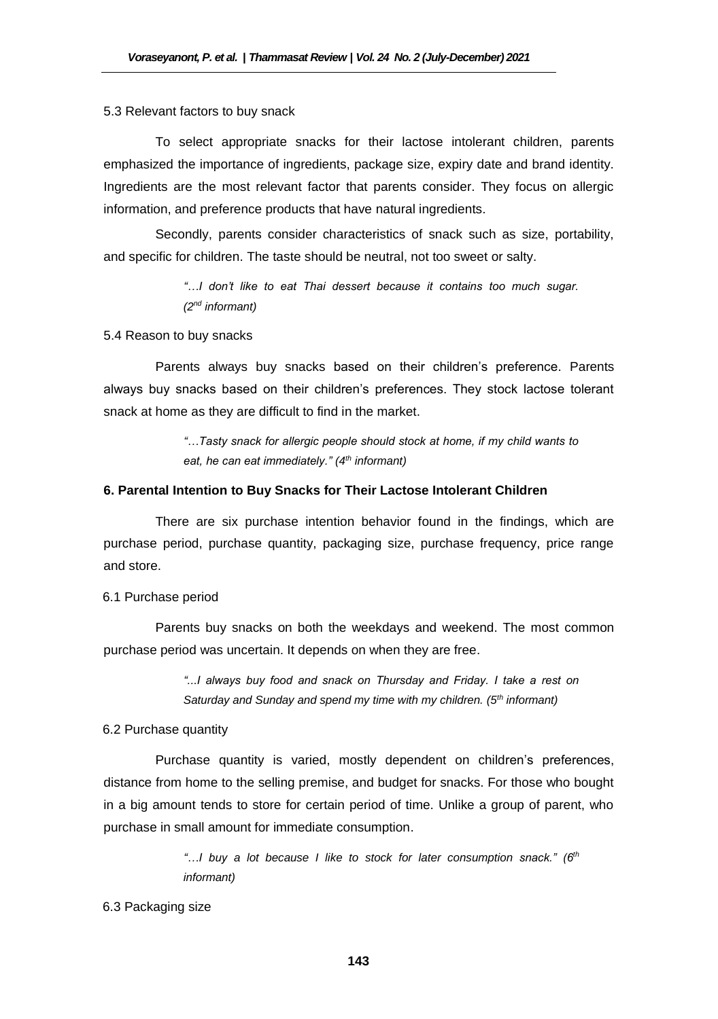#### 5.3 Relevant factors to buy snack

To select appropriate snacks for their lactose intolerant children, parents emphasized the importance of ingredients, package size, expiry date and brand identity. Ingredients are the most relevant factor that parents consider. They focus on allergic information, and preference products that have natural ingredients.

Secondly, parents consider characteristics of snack such as size, portability, and specific for children. The taste should be neutral, not too sweet or salty.

> *"…I don't like to eat Thai dessert because it contains too much sugar. (2nd informant)*

#### 5.4 Reason to buy snacks

Parents always buy snacks based on their children's preference. Parents always buy snacks based on their children's preferences. They stock lactose tolerant snack at home as they are difficult to find in the market.

> *"…Tasty snack for allergic people should stock at home, if my child wants to eat, he can eat immediately." (4th informant)*

#### **6. Parental Intention to Buy Snacks for Their Lactose Intolerant Children**

There are six purchase intention behavior found in the findings, which are purchase period, purchase quantity, packaging size, purchase frequency, price range and store.

#### 6.1 Purchase period

Parents buy snacks on both the weekdays and weekend. The most common purchase period was uncertain. It depends on when they are free.

> *"...I always buy food and snack on Thursday and Friday. I take a rest on Saturday and Sunday and spend my time with my children. (5th informant)*

#### 6.2 Purchase quantity

Purchase quantity is varied, mostly dependent on children's preferences, distance from home to the selling premise, and budget for snacks. For those who bought in a big amount tends to store for certain period of time. Unlike a group of parent, who purchase in small amount for immediate consumption.

> *"…I buy a lot because I like to stock for later consumption snack." (6th informant)*

#### 6.3 Packaging size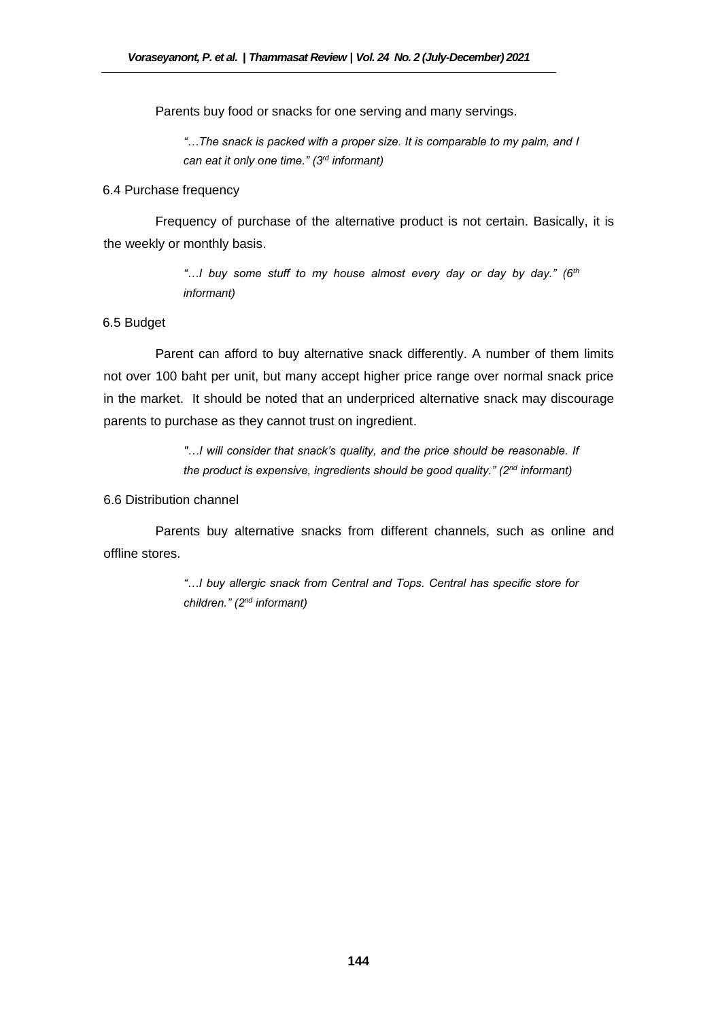Parents buy food or snacks for one serving and many servings.

*"…The snack is packed with a proper size. It is comparable to my palm, and I can eat it only one time." (3rd informant)* 

#### 6.4 Purchase frequency

Frequency of purchase of the alternative product is not certain. Basically, it is the weekly or monthly basis.

> *"…I buy some stuff to my house almost every day or day by day." (6th informant)*

## 6.5 Budget

Parent can afford to buy alternative snack differently. A number of them limits not over 100 baht per unit, but many accept higher price range over normal snack price in the market. It should be noted that an underpriced alternative snack may discourage parents to purchase as they cannot trust on ingredient.

> *"…I will consider that snack's quality, and the price should be reasonable. If the product is expensive, ingredients should be good quality." (2nd informant)*

#### 6.6 Distribution channel

Parents buy alternative snacks from different channels, such as online and offline stores.

> *"…I buy allergic snack from Central and Tops. Central has specific store for children." (2nd informant)*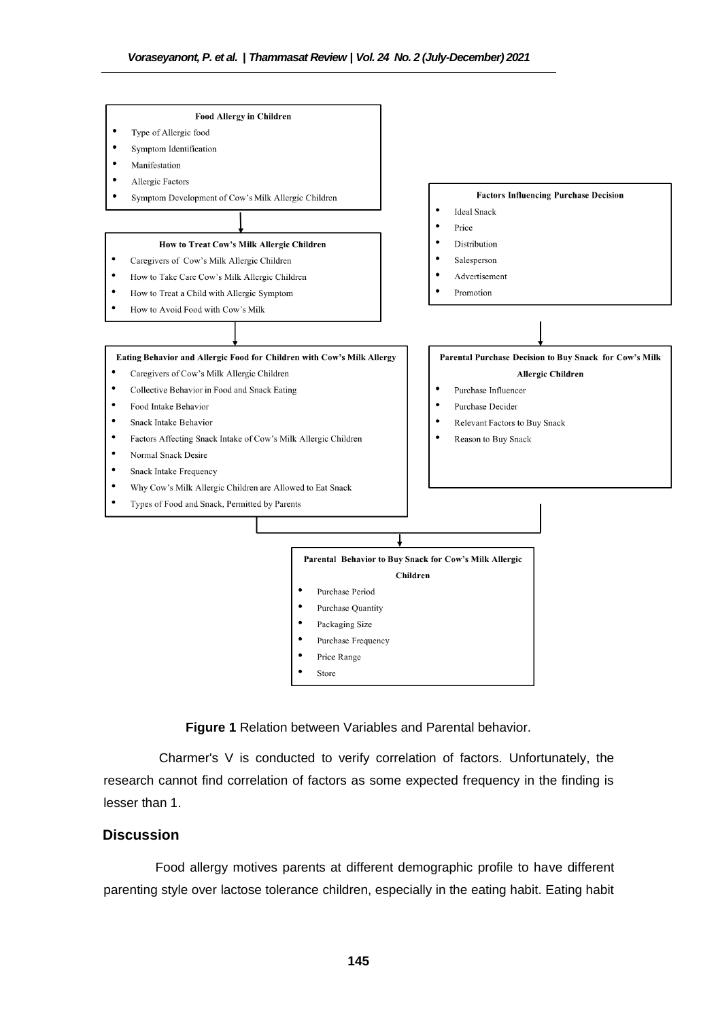

**Figure 1** Relation between Variables and Parental behavior.

Charmer's V is conducted to verify correlation of factors. Unfortunately, the research cannot find correlation of factors as some expected frequency in the finding is lesser than 1.

# **Discussion**

Food allergy motives parents at different demographic profile to have different parenting style over lactose tolerance children, especially in the eating habit. Eating habit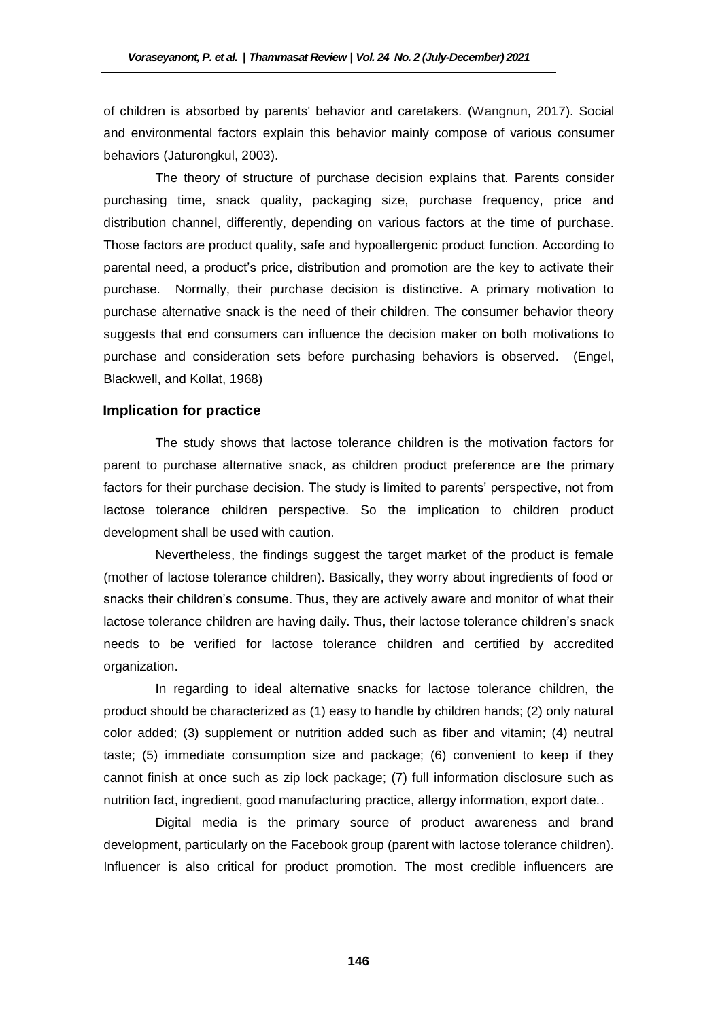of children is absorbed by parents' behavior and caretakers. (Wangnun, 2017). Social and environmental factors explain this behavior mainly compose of various consumer behaviors (Jaturongkul, 2003).

The theory of structure of purchase decision explains that. Parents consider purchasing time, snack quality, packaging size, purchase frequency, price and distribution channel, differently, depending on various factors at the time of purchase. Those factors are product quality, safe and hypoallergenic product function. According to parental need, a product's price, distribution and promotion are the key to activate their purchase. Normally, their purchase decision is distinctive. A primary motivation to purchase alternative snack is the need of their children. The consumer behavior theory suggests that end consumers can influence the decision maker on both motivations to purchase and consideration sets before purchasing behaviors is observed. (Engel, Blackwell, and Kollat, 1968)

#### **Implication for practice**

The study shows that lactose tolerance children is the motivation factors for parent to purchase alternative snack, as children product preference are the primary factors for their purchase decision. The study is limited to parents' perspective, not from lactose tolerance children perspective. So the implication to children product development shall be used with caution.

Nevertheless, the findings suggest the target market of the product is female (mother of lactose tolerance children). Basically, they worry about ingredients of food or snacks their children's consume. Thus, they are actively aware and monitor of what their lactose tolerance children are having daily. Thus, their lactose tolerance children's snack needs to be verified for lactose tolerance children and certified by accredited organization.

In regarding to ideal alternative snacks for lactose tolerance children, the product should be characterized as (1) easy to handle by children hands; (2) only natural color added; (3) supplement or nutrition added such as fiber and vitamin; (4) neutral taste; (5) immediate consumption size and package; (6) convenient to keep if they cannot finish at once such as zip lock package; (7) full information disclosure such as nutrition fact, ingredient, good manufacturing practice, allergy information, export date..

Digital media is the primary source of product awareness and brand development, particularly on the Facebook group (parent with lactose tolerance children). Influencer is also critical for product promotion. The most credible influencers are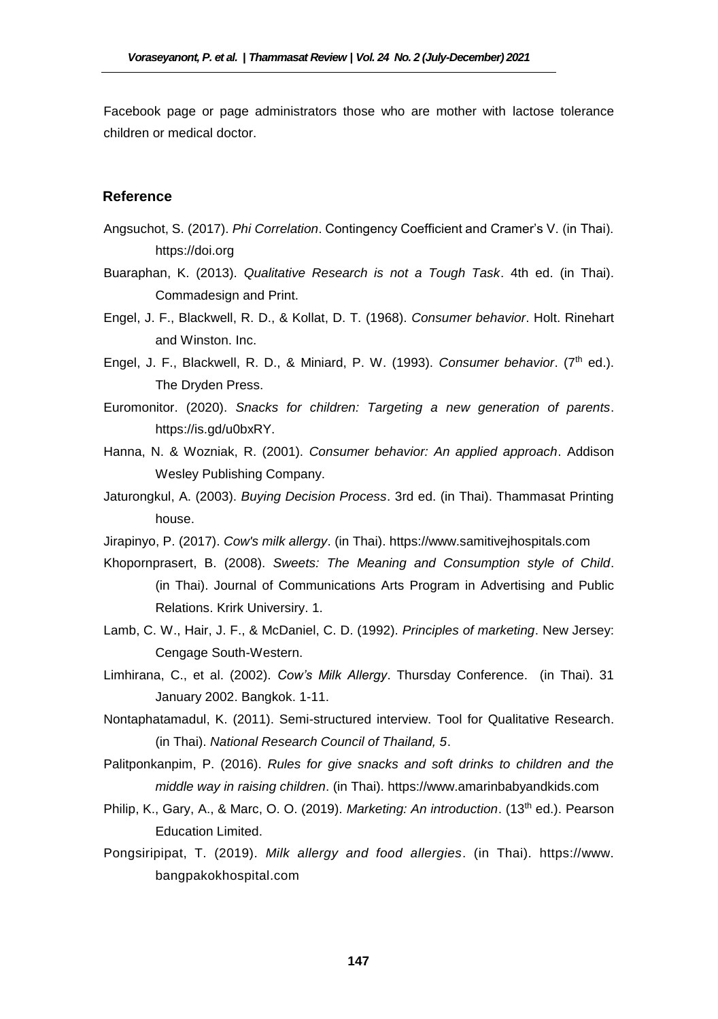Facebook page or page administrators those who are mother with lactose tolerance children or medical doctor.

#### **Reference**

- Angsuchot, S. (2017). *Phi Correlation*. Contingency Coefficient and Cramer's V. (in Thai). https://doi.org
- Buaraphan, K. (2013). *Qualitative Research is not a Tough Task*. 4th ed. (in Thai). Commadesign and Print.
- Engel, J. F., Blackwell, R. D., & Kollat, D. T. (1968). *Consumer behavior*. Holt. Rinehart and Winston. Inc.
- Engel, J. F., Blackwell, R. D., & Miniard, P. W. (1993). *Consumer behavior*. (7th ed.). The Dryden Press.
- Euromonitor. (2020). *Snacks for children: Targeting a new generation of parents*. https://is.gd/u0bxRY.
- Hanna, N. & Wozniak, R. (2001). *Consumer behavior: An applied approach*. Addison Wesley Publishing Company.
- Jaturongkul, A. (2003). *Buying Decision Process*. 3rd ed. (in Thai). Thammasat Printing house.
- Jirapinyo, P. (2017). *Cow's milk allergy*. (in Thai). https://www.samitivejhospitals.com
- Khopornprasert, B. (2008). *Sweets: The Meaning and Consumption style of Child*. (in Thai). Journal of Communications Arts Program in Advertising and Public Relations. Krirk Universiry. 1.
- Lamb, C. W., Hair, J. F., & McDaniel, C. D. (1992). *Principles of marketing*. New Jersey: Cengage South-Western.
- Limhirana, C., et al. (2002). *Cow's Milk Allergy*. Thursday Conference. (in Thai). 31 January 2002. Bangkok. 1-11.
- Nontaphatamadul, K. (2011). Semi-structured interview. Tool for Qualitative Research. (in Thai). *National Research Council of Thailand, 5*.
- Palitponkanpim, P. (2016). *Rules for give snacks and soft drinks to children and the middle way in raising children*. (in Thai). https://www.amarinbabyandkids.com
- Philip, K., Gary, A., & Marc, O. O. (2019). *Marketing: An introduction.* (13<sup>th</sup> ed.). Pearson Education Limited.
- Pongsiripipat, T. (2019). *Milk allergy and food allergies*. (in Thai). https://www. bangpakokhospital.com